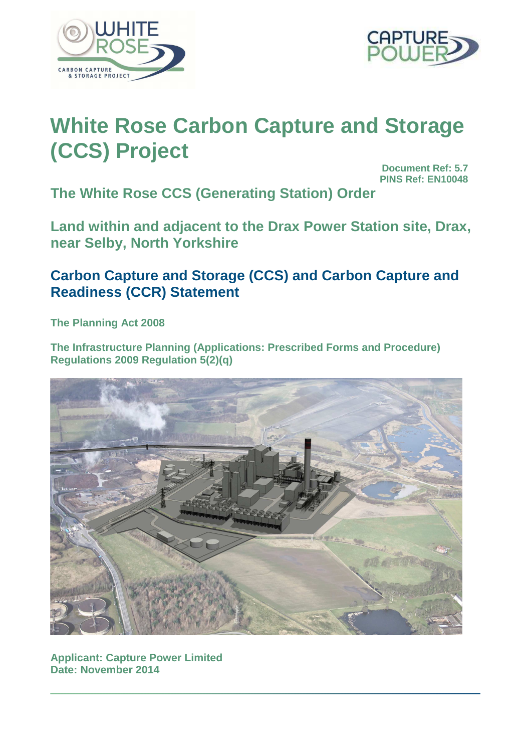



# **White Rose Carbon Capture and Storage (CCS) Project**

**Document Ref: 5.7 PINS Ref: EN10048**

**The White Rose CCS (Generating Station) Order** 

**Land within and adjacent to the Drax Power Station site, Drax, near Selby, North Yorkshire** 

## **Carbon Capture and Storage (CCS) and Carbon Capture and Readiness (CCR) Statement**

**The Planning Act 2008** 

**The Infrastructure Planning (Applications: Prescribed Forms and Procedure) Regulations 2009 Regulation 5(2)(q)** 



**Applicant: Capture Power Limited Date: November 2014**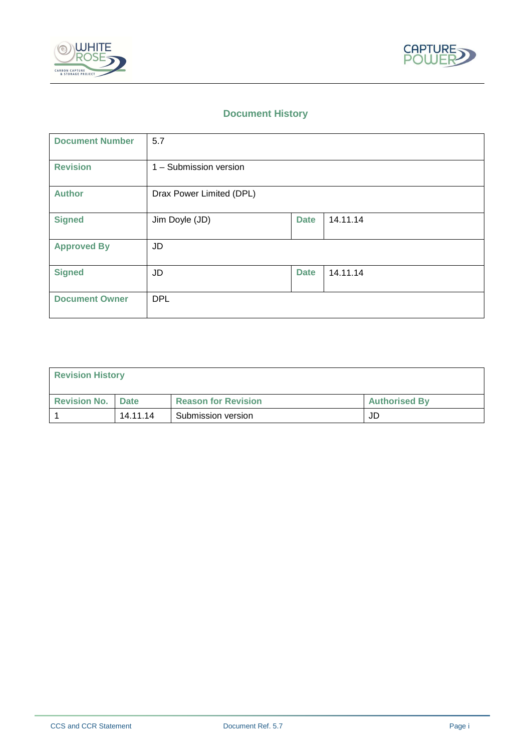



## **Document History**

| <b>Document Number</b> | 5.7                      |             |          |
|------------------------|--------------------------|-------------|----------|
| <b>Revision</b>        | 1 - Submission version   |             |          |
| <b>Author</b>          | Drax Power Limited (DPL) |             |          |
| <b>Signed</b>          | Jim Doyle (JD)           | <b>Date</b> | 14.11.14 |
| <b>Approved By</b>     | JD                       |             |          |
| <b>Signed</b>          | <b>JD</b>                | <b>Date</b> | 14.11.14 |
| <b>Document Owner</b>  | <b>DPL</b>               |             |          |

| <b>Revision History</b>    |          |                            |                      |
|----------------------------|----------|----------------------------|----------------------|
| <b>Revision No.   Date</b> |          | <b>Reason for Revision</b> | <b>Authorised By</b> |
|                            | 14.11.14 | Submission version         | JD                   |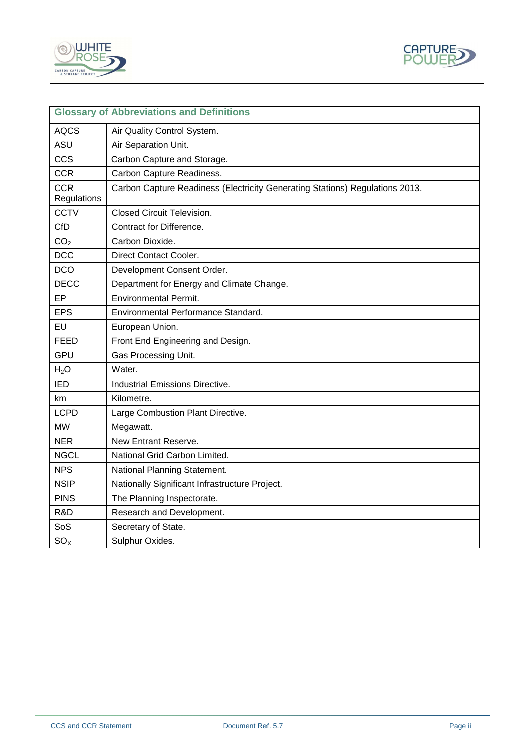



| <b>Glossary of Abbreviations and Definitions</b> |                                                                              |
|--------------------------------------------------|------------------------------------------------------------------------------|
| <b>AQCS</b>                                      | Air Quality Control System.                                                  |
| ASU                                              | Air Separation Unit.                                                         |
| <b>CCS</b>                                       | Carbon Capture and Storage.                                                  |
| <b>CCR</b>                                       | Carbon Capture Readiness.                                                    |
| <b>CCR</b><br>Regulations                        | Carbon Capture Readiness (Electricity Generating Stations) Regulations 2013. |
| <b>CCTV</b>                                      | <b>Closed Circuit Television.</b>                                            |
| <b>CfD</b>                                       | Contract for Difference.                                                     |
| CO <sub>2</sub>                                  | Carbon Dioxide.                                                              |
| <b>DCC</b>                                       | Direct Contact Cooler.                                                       |
| <b>DCO</b>                                       | Development Consent Order.                                                   |
| <b>DECC</b>                                      | Department for Energy and Climate Change.                                    |
| EP                                               | <b>Environmental Permit.</b>                                                 |
| <b>EPS</b>                                       | Environmental Performance Standard.                                          |
| EU                                               | European Union.                                                              |
| <b>FEED</b>                                      | Front End Engineering and Design.                                            |
| <b>GPU</b>                                       | Gas Processing Unit.                                                         |
| $H_2O$                                           | Water.                                                                       |
| <b>IED</b>                                       | <b>Industrial Emissions Directive.</b>                                       |
| km                                               | Kilometre.                                                                   |
| <b>LCPD</b>                                      | Large Combustion Plant Directive.                                            |
| <b>MW</b>                                        | Megawatt.                                                                    |
| <b>NER</b>                                       | New Entrant Reserve.                                                         |
| <b>NGCL</b>                                      | National Grid Carbon Limited.                                                |
| <b>NPS</b>                                       | National Planning Statement.                                                 |
| <b>NSIP</b>                                      | Nationally Significant Infrastructure Project.                               |
| <b>PINS</b>                                      | The Planning Inspectorate.                                                   |
| R&D                                              | Research and Development.                                                    |
| SoS                                              | Secretary of State.                                                          |
| $SO_{X}$                                         | Sulphur Oxides.                                                              |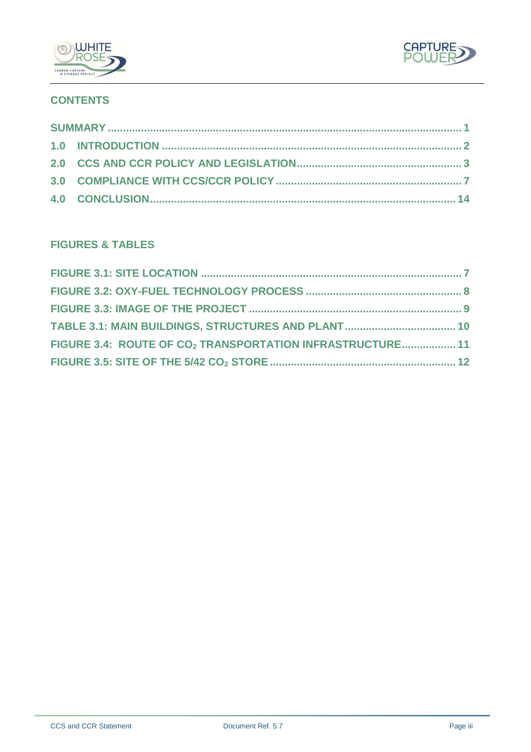



## **CONTENTS**

## **FIGURES & TABLES**

| FIGURE 3.4: ROUTE OF CO <sub>2</sub> TRANSPORTATION INFRASTRUCTURE 11 |  |
|-----------------------------------------------------------------------|--|
|                                                                       |  |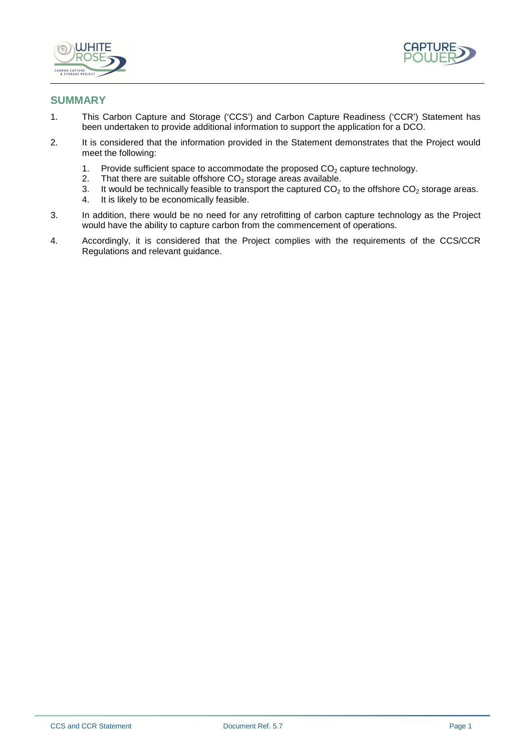



#### **SUMMARY**

- 1. This Carbon Capture and Storage ('CCS') and Carbon Capture Readiness ('CCR') Statement has been undertaken to provide additional information to support the application for a DCO.
- 2. It is considered that the information provided in the Statement demonstrates that the Project would meet the following:
	- 1. Provide sufficient space to accommodate the proposed  $CO<sub>2</sub>$  capture technology.<br>2. That there are suitable offshore  $CO<sub>2</sub>$  storage areas available.
	- 2. That there are suitable offshore  $CO<sub>2</sub>$  storage areas available.<br>3. It would be technically feasible to transport the captured  $CO<sub>2</sub>$
	- 3. It would be technically feasible to transport the captured  $CO<sub>2</sub>$  to the offshore  $CO<sub>2</sub>$  storage areas.<br>4. It is likely to be economically feasible.
	- It is likely to be economically feasible.
- 3. In addition, there would be no need for any retrofitting of carbon capture technology as the Project would have the ability to capture carbon from the commencement of operations.
- 4. Accordingly, it is considered that the Project complies with the requirements of the CCS/CCR Regulations and relevant guidance.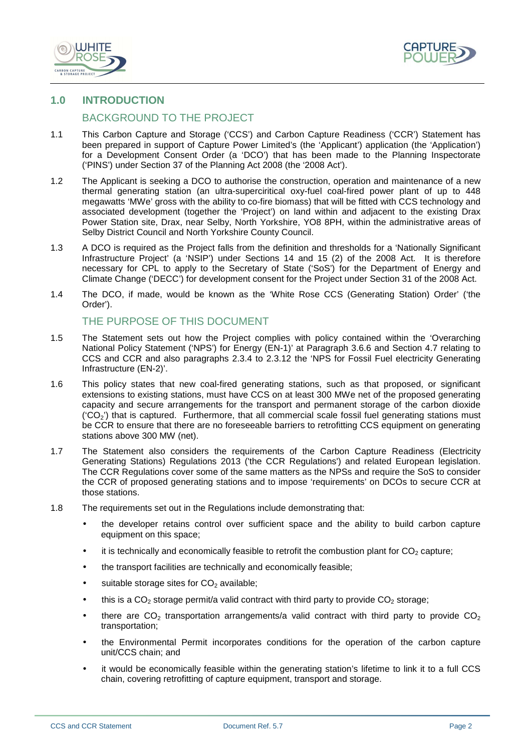



#### **1.0 INTRODUCTION**

#### BACKGROUND TO THE PROJECT

- 1.1 This Carbon Capture and Storage ('CCS') and Carbon Capture Readiness ('CCR') Statement has been prepared in support of Capture Power Limited's (the 'Applicant') application (the 'Application') for a Development Consent Order (a 'DCO') that has been made to the Planning Inspectorate ('PINS') under Section 37 of the Planning Act 2008 (the '2008 Act').
- 1.2 The Applicant is seeking a DCO to authorise the construction, operation and maintenance of a new thermal generating station (an ultra-superciritical oxy-fuel coal-fired power plant of up to 448 megawatts 'MWe' gross with the ability to co-fire biomass) that will be fitted with CCS technology and associated development (together the 'Project') on land within and adjacent to the existing Drax Power Station site, Drax, near Selby, North Yorkshire, YO8 8PH, within the administrative areas of Selby District Council and North Yorkshire County Council.
- 1.3 A DCO is required as the Project falls from the definition and thresholds for a 'Nationally Significant Infrastructure Project' (a 'NSIP') under Sections 14 and 15 (2) of the 2008 Act. It is therefore necessary for CPL to apply to the Secretary of State ('SoS') for the Department of Energy and Climate Change ('DECC') for development consent for the Project under Section 31 of the 2008 Act.
- 1.4 The DCO, if made, would be known as the 'White Rose CCS (Generating Station) Order' ('the Order').

#### THE PURPOSE OF THIS DOCUMENT

- 1.5 The Statement sets out how the Project complies with policy contained within the 'Overarching National Policy Statement ('NPS') for Energy (EN-1)' at Paragraph 3.6.6 and Section 4.7 relating to CCS and CCR and also paragraphs 2.3.4 to 2.3.12 the 'NPS for Fossil Fuel electricity Generating Infrastructure (EN-2)'.
- 1.6 This policy states that new coal-fired generating stations, such as that proposed, or significant extensions to existing stations, must have CCS on at least 300 MWe net of the proposed generating capacity and secure arrangements for the transport and permanent storage of the carbon dioxide  $(CO<sub>2</sub>)$  that is captured. Furthermore, that all commercial scale fossil fuel generating stations must be CCR to ensure that there are no foreseeable barriers to retrofitting CCS equipment on generating stations above 300 MW (net).
- 1.7 The Statement also considers the requirements of the Carbon Capture Readiness (Electricity Generating Stations) Regulations 2013 ('the CCR Regulations') and related European legislation. The CCR Regulations cover some of the same matters as the NPSs and require the SoS to consider the CCR of proposed generating stations and to impose 'requirements' on DCOs to secure CCR at those stations.
- 1.8 The requirements set out in the Regulations include demonstrating that:
	- the developer retains control over sufficient space and the ability to build carbon capture equipment on this space;
	- it is technically and economically feasible to retrofit the combustion plant for  $CO<sub>2</sub>$  capture;
	- the transport facilities are technically and economically feasible;
	- suitable storage sites for  $CO<sub>2</sub>$  available;
	- this is a  $CO<sub>2</sub>$  storage permit/a valid contract with third party to provide  $CO<sub>2</sub>$  storage;
	- there are  $CO<sub>2</sub>$  transportation arrangements/a valid contract with third party to provide  $CO<sub>2</sub>$ transportation;
	- the Environmental Permit incorporates conditions for the operation of the carbon capture unit/CCS chain; and
	- it would be economically feasible within the generating station's lifetime to link it to a full CCS chain, covering retrofitting of capture equipment, transport and storage.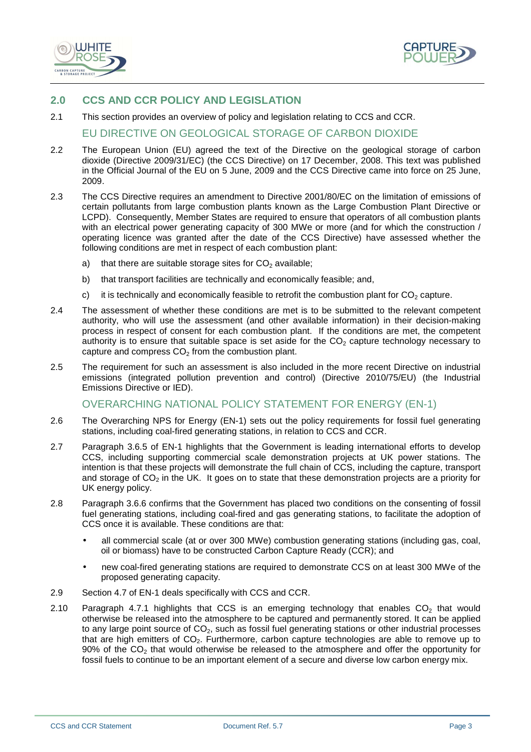



#### **2.0 CCS AND CCR POLICY AND LEGISLATION**

2.1 This section provides an overview of policy and legislation relating to CCS and CCR.

EU DIRECTIVE ON GEOLOGICAL STORAGE OF CARBON DIOXIDE

- 2.2 The European Union (EU) agreed the text of the Directive on the geological storage of carbon dioxide (Directive 2009/31/EC) (the CCS Directive) on 17 December, 2008. This text was published in the Official Journal of the EU on 5 June, 2009 and the CCS Directive came into force on 25 June, 2009.
- 2.3 The CCS Directive requires an amendment to Directive 2001/80/EC on the limitation of emissions of certain pollutants from large combustion plants known as the Large Combustion Plant Directive or LCPD). Consequently, Member States are required to ensure that operators of all combustion plants with an electrical power generating capacity of 300 MWe or more (and for which the construction / operating licence was granted after the date of the CCS Directive) have assessed whether the following conditions are met in respect of each combustion plant:
	- a) that there are suitable storage sites for  $CO<sub>2</sub>$  available;
	- b) that transport facilities are technically and economically feasible; and,
	- c) it is technically and economically feasible to retrofit the combustion plant for  $CO<sub>2</sub>$  capture.
- 2.4 The assessment of whether these conditions are met is to be submitted to the relevant competent authority, who will use the assessment (and other available information) in their decision-making process in respect of consent for each combustion plant. If the conditions are met, the competent authority is to ensure that suitable space is set aside for the  $CO<sub>2</sub>$  capture technology necessary to capture and compress  $CO<sub>2</sub>$  from the combustion plant.
- 2.5 The requirement for such an assessment is also included in the more recent Directive on industrial emissions (integrated pollution prevention and control) (Directive 2010/75/EU) (the Industrial Emissions Directive or IED).

#### OVERARCHING NATIONAL POLICY STATEMENT FOR ENERGY (EN-1)

- 2.6 The Overarching NPS for Energy (EN-1) sets out the policy requirements for fossil fuel generating stations, including coal-fired generating stations, in relation to CCS and CCR.
- 2.7 Paragraph 3.6.5 of EN-1 highlights that the Government is leading international efforts to develop CCS, including supporting commercial scale demonstration projects at UK power stations. The intention is that these projects will demonstrate the full chain of CCS, including the capture, transport and storage of  $CO<sub>2</sub>$  in the UK. It goes on to state that these demonstration projects are a priority for UK energy policy.
- 2.8 Paragraph 3.6.6 confirms that the Government has placed two conditions on the consenting of fossil fuel generating stations, including coal-fired and gas generating stations, to facilitate the adoption of CCS once it is available. These conditions are that:
	- all commercial scale (at or over 300 MWe) combustion generating stations (including gas, coal, oil or biomass) have to be constructed Carbon Capture Ready (CCR); and
	- new coal-fired generating stations are required to demonstrate CCS on at least 300 MWe of the proposed generating capacity.
- 2.9 Section 4.7 of EN-1 deals specifically with CCS and CCR.
- 2.10 Paragraph 4.7.1 highlights that CCS is an emerging technology that enables  $CO<sub>2</sub>$  that would otherwise be released into the atmosphere to be captured and permanently stored. It can be applied to any large point source of  $CO<sub>2</sub>$ , such as fossil fuel generating stations or other industrial processes that are high emitters of CO<sub>2</sub>. Furthermore, carbon capture technologies are able to remove up to 90% of the  $CO<sub>2</sub>$  that would otherwise be released to the atmosphere and offer the opportunity for fossil fuels to continue to be an important element of a secure and diverse low carbon energy mix.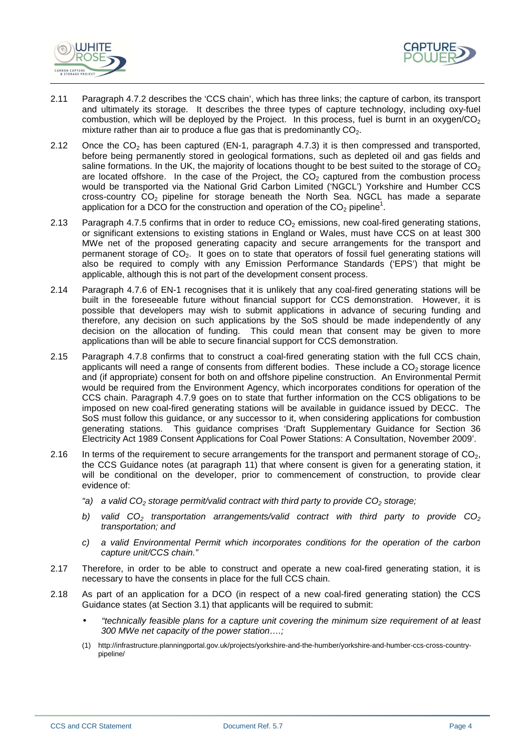



- 2.11 Paragraph 4.7.2 describes the 'CCS chain', which has three links; the capture of carbon, its transport and ultimately its storage. It describes the three types of capture technology, including oxy-fuel combustion, which will be deployed by the Project. In this process, fuel is burnt in an oxygen/ $CO<sub>2</sub>$ mixture rather than air to produce a flue gas that is predominantly  $CO<sub>2</sub>$ .
- 2.12 Once the  $CO<sub>2</sub>$  has been captured (EN-1, paragraph 4.7.3) it is then compressed and transported, before being permanently stored in geological formations, such as depleted oil and gas fields and saline formations. In the UK, the majority of locations thought to be best suited to the storage of  $CO<sub>2</sub>$ are located offshore. In the case of the Project, the  $CO<sub>2</sub>$  captured from the combustion process would be transported via the National Grid Carbon Limited ('NGCL') Yorkshire and Humber CCS cross-country  $CO<sub>2</sub>$  pipeline for storage beneath the North Sea. NGCL has made a separate application for a DCO for the construction and operation of the  $CO<sub>2</sub>$  pipeline<sup>1</sup>.
- 2.13 Paragraph 4.7.5 confirms that in order to reduce  $CO<sub>2</sub>$  emissions, new coal-fired generating stations, or significant extensions to existing stations in England or Wales, must have CCS on at least 300 MWe net of the proposed generating capacity and secure arrangements for the transport and permanent storage of  $CO<sub>2</sub>$ . It goes on to state that operators of fossil fuel generating stations will also be required to comply with any Emission Performance Standards ('EPS') that might be applicable, although this is not part of the development consent process.
- 2.14 Paragraph 4.7.6 of EN-1 recognises that it is unlikely that any coal-fired generating stations will be built in the foreseeable future without financial support for CCS demonstration. However, it is possible that developers may wish to submit applications in advance of securing funding and therefore, any decision on such applications by the SoS should be made independently of any decision on the allocation of funding. This could mean that consent may be given to more applications than will be able to secure financial support for CCS demonstration.
- 2.15 Paragraph 4.7.8 confirms that to construct a coal-fired generating station with the full CCS chain, applicants will need a range of consents from different bodies. These include a  $CO<sub>2</sub>$  storage licence and (if appropriate) consent for both on and offshore pipeline construction. An Environmental Permit would be required from the Environment Agency, which incorporates conditions for operation of the CCS chain. Paragraph 4.7.9 goes on to state that further information on the CCS obligations to be imposed on new coal-fired generating stations will be available in guidance issued by DECC. The SoS must follow this guidance, or any successor to it, when considering applications for combustion generating stations. This guidance comprises 'Draft Supplementary Guidance for Section 36 Electricity Act 1989 Consent Applications for Coal Power Stations: A Consultation, November 2009'.
- 2.16 In terms of the requirement to secure arrangements for the transport and permanent storage of  $CO<sub>2</sub>$ , the CCS Guidance notes (at paragraph 11) that where consent is given for a generating station, it will be conditional on the developer, prior to commencement of construction, to provide clear evidence of:
	- "a) a valid  $CO<sub>2</sub>$  storage permit/valid contract with third party to provide  $CO<sub>2</sub>$  storage;
	- b) valid  $CO<sub>2</sub>$  transportation arrangements/valid contract with third party to provide  $CO<sub>2</sub>$ transportation; and
	- c) a valid Environmental Permit which incorporates conditions for the operation of the carbon capture unit/CCS chain."
- 2.17 Therefore, in order to be able to construct and operate a new coal-fired generating station, it is necessary to have the consents in place for the full CCS chain.
- 2.18 As part of an application for a DCO (in respect of a new coal-fired generating station) the CCS Guidance states (at Section 3.1) that applicants will be required to submit:
	- "technically feasible plans for a capture unit covering the minimum size requirement of at least 300 MWe net capacity of the power station….;
	- (1) http://infrastructure.planningportal.gov.uk/projects/yorkshire-and-the-humber/yorkshire-and-humber-ccs-cross-countrypipeline/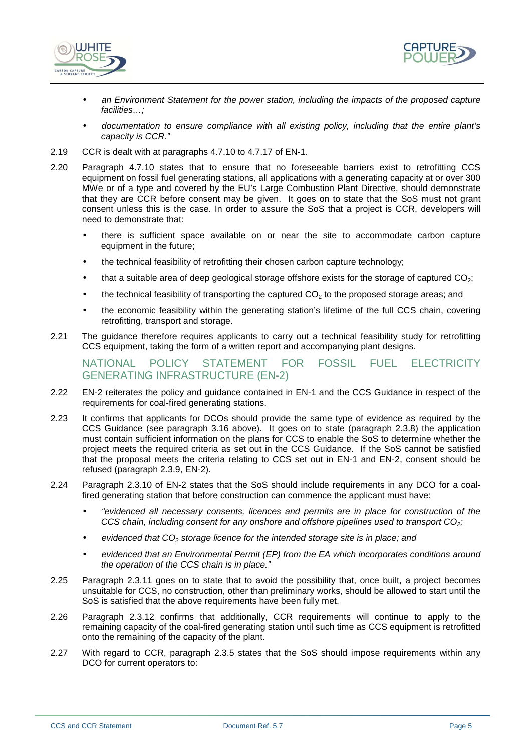



- an Environment Statement for the power station, including the impacts of the proposed capture facilities…;
- documentation to ensure compliance with all existing policy, including that the entire plant's capacity is CCR."
- 2.19 CCR is dealt with at paragraphs 4.7.10 to 4.7.17 of EN-1.
- 2.20 Paragraph 4.7.10 states that to ensure that no foreseeable barriers exist to retrofitting CCS equipment on fossil fuel generating stations, all applications with a generating capacity at or over 300 MWe or of a type and covered by the EU's Large Combustion Plant Directive, should demonstrate that they are CCR before consent may be given. It goes on to state that the SoS must not grant consent unless this is the case. In order to assure the SoS that a project is CCR, developers will need to demonstrate that:
	- there is sufficient space available on or near the site to accommodate carbon capture equipment in the future;
	- the technical feasibility of retrofitting their chosen carbon capture technology;
	- that a suitable area of deep geological storage offshore exists for the storage of captured  $CO<sub>2</sub>$ ;
	- the technical feasibility of transporting the captured  $CO<sub>2</sub>$  to the proposed storage areas; and
	- the economic feasibility within the generating station's lifetime of the full CCS chain, covering retrofitting, transport and storage.
- 2.21 The guidance therefore requires applicants to carry out a technical feasibility study for retrofitting CCS equipment, taking the form of a written report and accompanying plant designs.

#### NATIONAL POLICY STATEMENT FOR FOSSIL FUEL ELECTRICITY GENERATING INFRASTRUCTURE (EN-2)

- 2.22 EN-2 reiterates the policy and guidance contained in EN-1 and the CCS Guidance in respect of the requirements for coal-fired generating stations.
- 2.23 It confirms that applicants for DCOs should provide the same type of evidence as required by the CCS Guidance (see paragraph 3.16 above). It goes on to state (paragraph 2.3.8) the application must contain sufficient information on the plans for CCS to enable the SoS to determine whether the project meets the required criteria as set out in the CCS Guidance. If the SoS cannot be satisfied that the proposal meets the criteria relating to CCS set out in EN-1 and EN-2, consent should be refused (paragraph 2.3.9, EN-2).
- 2.24 Paragraph 2.3.10 of EN-2 states that the SoS should include requirements in any DCO for a coalfired generating station that before construction can commence the applicant must have:
	- "evidenced all necessary consents, licences and permits are in place for construction of the CCS chain, including consent for any onshore and offshore pipelines used to transport  $CO<sub>2</sub>$ ;
	- evidenced that  $CO<sub>2</sub>$  storage licence for the intended storage site is in place; and
	- evidenced that an Environmental Permit (EP) from the EA which incorporates conditions around the operation of the CCS chain is in place."
- 2.25 Paragraph 2.3.11 goes on to state that to avoid the possibility that, once built, a project becomes unsuitable for CCS, no construction, other than preliminary works, should be allowed to start until the SoS is satisfied that the above requirements have been fully met.
- 2.26 Paragraph 2.3.12 confirms that additionally, CCR requirements will continue to apply to the remaining capacity of the coal-fired generating station until such time as CCS equipment is retrofitted onto the remaining of the capacity of the plant.
- 2.27 With regard to CCR, paragraph 2.3.5 states that the SoS should impose requirements within any DCO for current operators to: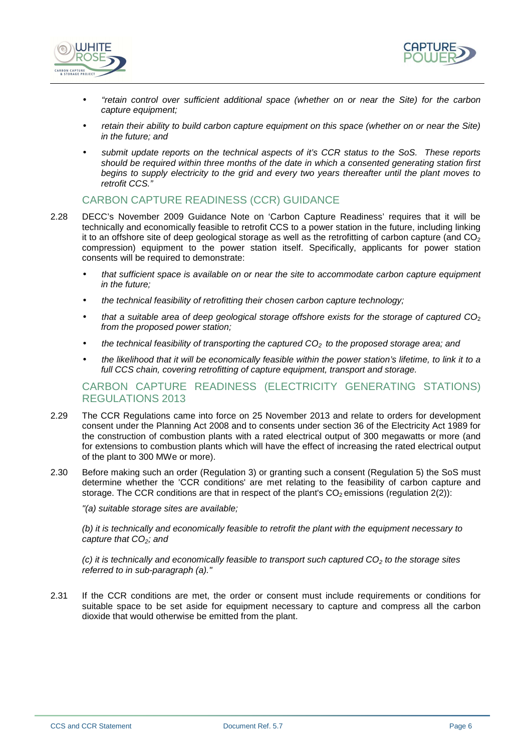



- "retain control over sufficient additional space (whether on or near the Site) for the carbon capture equipment;
- retain their ability to build carbon capture equipment on this space (whether on or near the Site) in the future; and
- submit update reports on the technical aspects of it's CCR status to the SoS. These reports should be required within three months of the date in which a consented generating station first begins to supply electricity to the grid and every two years thereafter until the plant moves to retrofit CCS."

#### CARBON CAPTURE READINESS (CCR) GUIDANCE

- 2.28 DECC's November 2009 Guidance Note on 'Carbon Capture Readiness' requires that it will be technically and economically feasible to retrofit CCS to a power station in the future, including linking it to an offshore site of deep geological storage as well as the retrofitting of carbon capture (and  $CO_2$ ) compression) equipment to the power station itself. Specifically, applicants for power station consents will be required to demonstrate:
	- that sufficient space is available on or near the site to accommodate carbon capture equipment in the future;
	- the technical feasibility of retrofitting their chosen carbon capture technology;
	- that a suitable area of deep geological storage offshore exists for the storage of captured  $CO<sub>2</sub>$ from the proposed power station;
	- the technical feasibility of transporting the captured  $CO<sub>2</sub>$  to the proposed storage area; and
	- the likelihood that it will be economically feasible within the power station's lifetime, to link it to a full CCS chain, covering retrofitting of capture equipment, transport and storage.

#### CARBON CAPTURE READINESS (ELECTRICITY GENERATING STATIONS) REGULATIONS 2013

- 2.29 The CCR Regulations came into force on 25 November 2013 and relate to orders for development consent under the Planning Act 2008 and to consents under section 36 of the Electricity Act 1989 for the construction of combustion plants with a rated electrical output of 300 megawatts or more (and for extensions to combustion plants which will have the effect of increasing the rated electrical output of the plant to 300 MWe or more).
- 2.30 Before making such an order (Regulation 3) or granting such a consent (Regulation 5) the SoS must determine whether the 'CCR conditions' are met relating to the feasibility of carbon capture and storage. The CCR conditions are that in respect of the plant's  $CO<sub>2</sub>$  emissions (regulation 2(2)):

"(a) suitable storage sites are available;

(b) it is technically and economically feasible to retrofit the plant with the equipment necessary to capture that  $CO<sub>2</sub>$ ; and

(c) it is technically and economically feasible to transport such captured  $CO<sub>2</sub>$  to the storage sites referred to in sub-paragraph (a)."

2.31 If the CCR conditions are met, the order or consent must include requirements or conditions for suitable space to be set aside for equipment necessary to capture and compress all the carbon dioxide that would otherwise be emitted from the plant.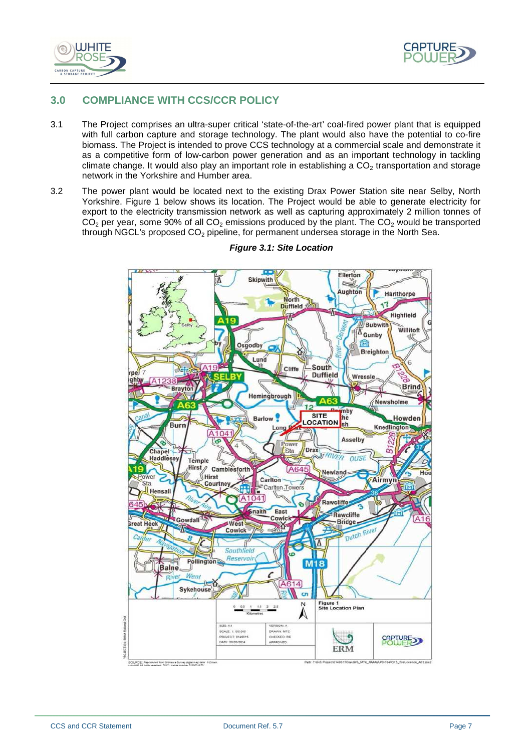



#### **3.0 COMPLIANCE WITH CCS/CCR POLICY**

- 3.1 The Project comprises an ultra-super critical 'state-of-the-art' coal-fired power plant that is equipped with full carbon capture and storage technology. The plant would also have the potential to co-fire biomass. The Project is intended to prove CCS technology at a commercial scale and demonstrate it as a competitive form of low-carbon power generation and as an important technology in tackling climate change. It would also play an important role in establishing a  $CO<sub>2</sub>$  transportation and storage network in the Yorkshire and Humber area.
- 3.2 The power plant would be located next to the existing Drax Power Station site near Selby, North Yorkshire. Figure 1 below shows its location. The Project would be able to generate electricity for export to the electricity transmission network as well as capturing approximately 2 million tonnes of  $C\dot{\mathsf{O}}_2$  per year, some 90% of all  $CO_2$  emissions produced by the plant. The  $CO_2$  would be transported through NGCL's proposed  $CO<sub>2</sub>$  pipeline, for permanent undersea storage in the North Sea.



#### **Figure 3.1: Site Location**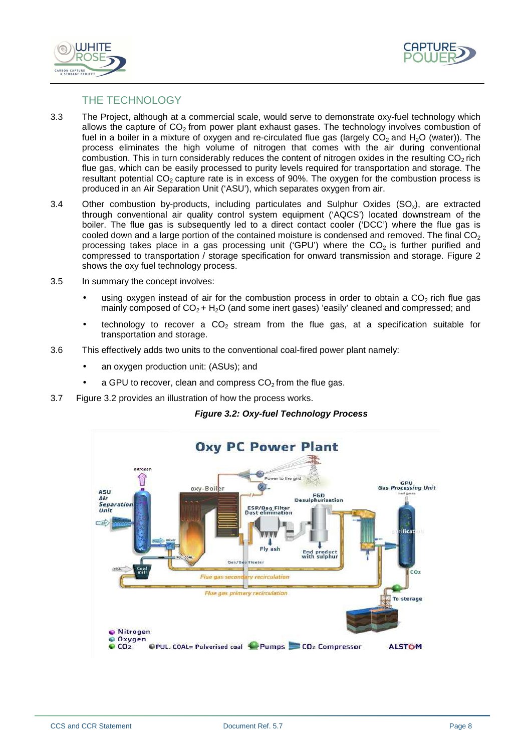



#### THE TECHNOLOGY

- 3.3 The Project, although at a commercial scale, would serve to demonstrate oxy-fuel technology which allows the capture of  $CO<sub>2</sub>$  from power plant exhaust gases. The technology involves combustion of fuel in a boiler in a mixture of oxygen and re-circulated flue gas (largely  $CO<sub>2</sub>$  and H<sub>2</sub>O (water)). The process eliminates the high volume of nitrogen that comes with the air during conventional combustion. This in turn considerably reduces the content of nitrogen oxides in the resulting  $CO<sub>2</sub>$  rich flue gas, which can be easily processed to purity levels required for transportation and storage. The resultant potential  $CO<sub>2</sub>$  capture rate is in excess of 90%. The oxygen for the combustion process is produced in an Air Separation Unit ('ASU'), which separates oxygen from air.
- 3.4 Other combustion by-products, including particulates and Sulphur Oxides  $(SO_x)$ , are extracted through conventional air quality control system equipment ('AQCS') located downstream of the boiler. The flue gas is subsequently led to a direct contact cooler ('DCC') where the flue gas is cooled down and a large portion of the contained moisture is condensed and removed. The final  $CO<sub>2</sub>$ processing takes place in a gas processing unit ('GPU') where the  $CO<sub>2</sub>$  is further purified and compressed to transportation / storage specification for onward transmission and storage. Figure 2 shows the oxy fuel technology process.
- 3.5 In summary the concept involves:
	- using oxygen instead of air for the combustion process in order to obtain a  $CO<sub>2</sub>$  rich flue gas mainly composed of  $CO<sub>2</sub> + H<sub>2</sub>O$  (and some inert gases) 'easily' cleaned and compressed; and
	- technology to recover a  $CO<sub>2</sub>$  stream from the flue gas, at a specification suitable for transportation and storage.
- 3.6 This effectively adds two units to the conventional coal-fired power plant namely:
	- an oxygen production unit: (ASUs); and
	- a GPU to recover, clean and compress  $CO<sub>2</sub>$  from the flue gas.
- 3.7 Figure 3.2 provides an illustration of how the process works.



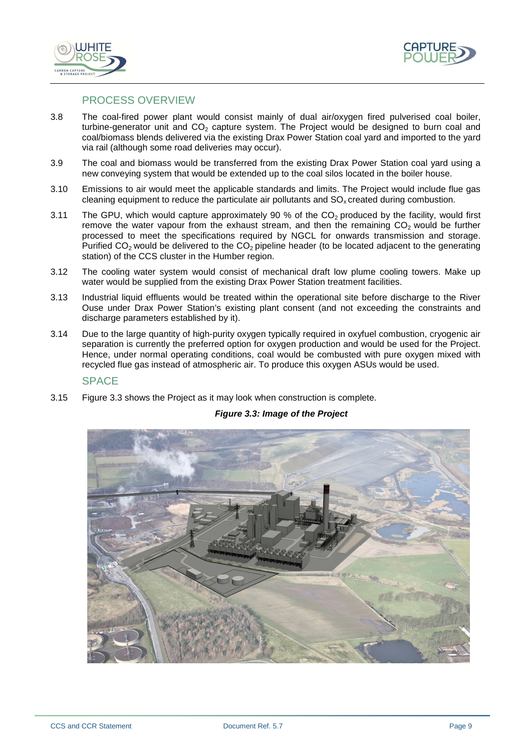



#### PROCESS OVERVIEW

- 3.8 The coal-fired power plant would consist mainly of dual air/oxygen fired pulverised coal boiler, turbine-generator unit and  $CO<sub>2</sub>$  capture system. The Project would be designed to burn coal and coal/biomass blends delivered via the existing Drax Power Station coal yard and imported to the yard via rail (although some road deliveries may occur).
- 3.9 The coal and biomass would be transferred from the existing Drax Power Station coal yard using a new conveying system that would be extended up to the coal silos located in the boiler house.
- 3.10 Emissions to air would meet the applicable standards and limits. The Project would include flue gas cleaning equipment to reduce the particulate air pollutants and  $SO<sub>x</sub>$  created during combustion.
- 3.11 The GPU, which would capture approximately 90 % of the  $CO<sub>2</sub>$  produced by the facility, would first remove the water vapour from the exhaust stream, and then the remaining  $CO<sub>2</sub>$  would be further processed to meet the specifications required by NGCL for onwards transmission and storage. Purified  $CO<sub>2</sub>$  would be delivered to the  $CO<sub>2</sub>$  pipeline header (to be located adjacent to the generating station) of the CCS cluster in the Humber region.
- 3.12 The cooling water system would consist of mechanical draft low plume cooling towers. Make up water would be supplied from the existing Drax Power Station treatment facilities.
- 3.13 Industrial liquid effluents would be treated within the operational site before discharge to the River Ouse under Drax Power Station's existing plant consent (and not exceeding the constraints and discharge parameters established by it).
- 3.14 Due to the large quantity of high-purity oxygen typically required in oxyfuel combustion, cryogenic air separation is currently the preferred option for oxygen production and would be used for the Project. Hence, under normal operating conditions, coal would be combusted with pure oxygen mixed with recycled flue gas instead of atmospheric air. To produce this oxygen ASUs would be used.

#### **SPACE**

3.15 Figure 3.3 shows the Project as it may look when construction is complete.



#### **Figure 3.3: Image of the Project**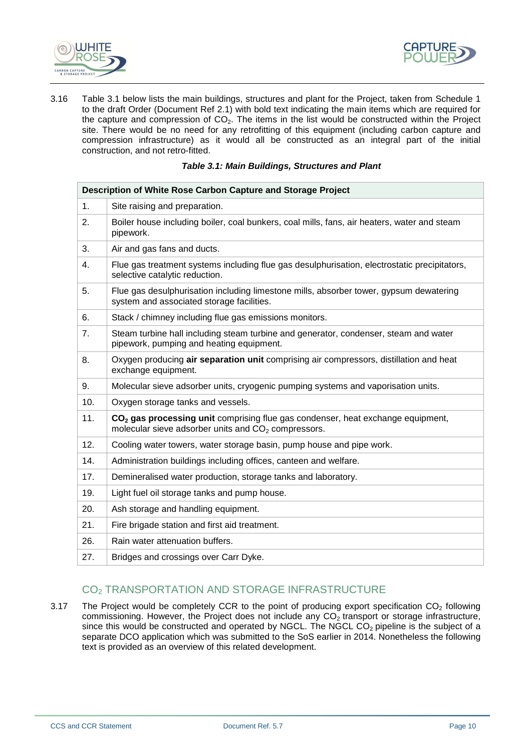



3.16 Table 3.1 below lists the main buildings, structures and plant for the Project, taken from Schedule 1 to the draft Order (Document Ref 2.1) with bold text indicating the main items which are required for the capture and compression of  $CO<sub>2</sub>$ . The items in the list would be constructed within the Project site. There would be no need for any retrofitting of this equipment (including carbon capture and compression infrastructure) as it would all be constructed as an integral part of the initial construction, and not retro-fitted.

| <b>Table 3.1: Main Buildings, Structures and Plant</b> |  |
|--------------------------------------------------------|--|
|--------------------------------------------------------|--|

| Description of White Rose Carbon Capture and Storage Project |                                                                                                                                                      |
|--------------------------------------------------------------|------------------------------------------------------------------------------------------------------------------------------------------------------|
| 1.                                                           | Site raising and preparation.                                                                                                                        |
| 2.                                                           | Boiler house including boiler, coal bunkers, coal mills, fans, air heaters, water and steam<br>pipework.                                             |
| 3.                                                           | Air and gas fans and ducts.                                                                                                                          |
| 4.                                                           | Flue gas treatment systems including flue gas desulphurisation, electrostatic precipitators,<br>selective catalytic reduction.                       |
| 5.                                                           | Flue gas desulphurisation including limestone mills, absorber tower, gypsum dewatering<br>system and associated storage facilities.                  |
| 6.                                                           | Stack / chimney including flue gas emissions monitors.                                                                                               |
| 7.                                                           | Steam turbine hall including steam turbine and generator, condenser, steam and water<br>pipework, pumping and heating equipment.                     |
| 8.                                                           | Oxygen producing air separation unit comprising air compressors, distillation and heat<br>exchange equipment.                                        |
| 9.                                                           | Molecular sieve adsorber units, cryogenic pumping systems and vaporisation units.                                                                    |
| 10.                                                          | Oxygen storage tanks and vessels.                                                                                                                    |
| 11.                                                          | CO <sub>2</sub> gas processing unit comprising flue gas condenser, heat exchange equipment,<br>molecular sieve adsorber units and $CO2$ compressors. |
| 12.                                                          | Cooling water towers, water storage basin, pump house and pipe work.                                                                                 |
| 14.                                                          | Administration buildings including offices, canteen and welfare.                                                                                     |
| 17.                                                          | Demineralised water production, storage tanks and laboratory.                                                                                        |
| 19.                                                          | Light fuel oil storage tanks and pump house.                                                                                                         |
| 20.                                                          | Ash storage and handling equipment.                                                                                                                  |
| 21.                                                          | Fire brigade station and first aid treatment.                                                                                                        |
| 26.                                                          | Rain water attenuation buffers.                                                                                                                      |
| 27.                                                          | Bridges and crossings over Carr Dyke.                                                                                                                |

### CO2 TRANSPORTATION AND STORAGE INFRASTRUCTURE

3.17 The Project would be completely CCR to the point of producing export specification  $CO<sub>2</sub>$  following commissioning. However, the Project does not include any  $CO_2$  transport or storage infrastructure, since this would be constructed and operated by NGCL. The NGCL CO<sub>2</sub> pipeline is the subject of a separate DCO application which was submitted to the SoS earlier in 2014. Nonetheless the following text is provided as an overview of this related development.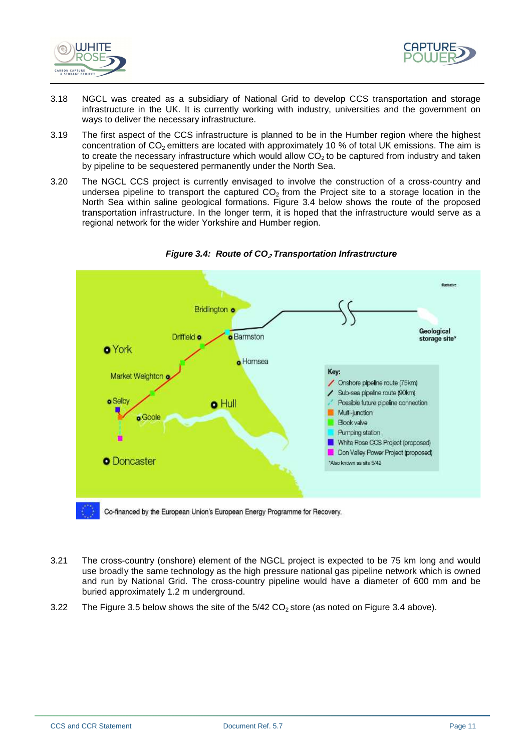



- 3.18 NGCL was created as a subsidiary of National Grid to develop CCS transportation and storage infrastructure in the UK. It is currently working with industry, universities and the government on ways to deliver the necessary infrastructure.
- 3.19 The first aspect of the CCS infrastructure is planned to be in the Humber region where the highest concentration of  $CO<sub>2</sub>$  emitters are located with approximately 10 % of total UK emissions. The aim is to create the necessary infrastructure which would allow  $CO<sub>2</sub>$  to be captured from industry and taken by pipeline to be sequestered permanently under the North Sea.
- 3.20 The NGCL CCS project is currently envisaged to involve the construction of a cross-country and undersea pipeline to transport the captured  $CO<sub>2</sub>$  from the Project site to a storage location in the North Sea within saline geological formations. Figure 3.4 below shows the route of the proposed transportation infrastructure. In the longer term, it is hoped that the infrastructure would serve as a regional network for the wider Yorkshire and Humber region.



**Figure 3.4: Route of CO2 Transportation Infrastructure**

- 3.21 The cross-country (onshore) element of the NGCL project is expected to be 75 km long and would use broadly the same technology as the high pressure national gas pipeline network which is owned and run by National Grid. The cross-country pipeline would have a diameter of 600 mm and be buried approximately 1.2 m underground.
- 3.22 The Figure 3.5 below shows the site of the  $5/42$  CO<sub>2</sub> store (as noted on Figure 3.4 above).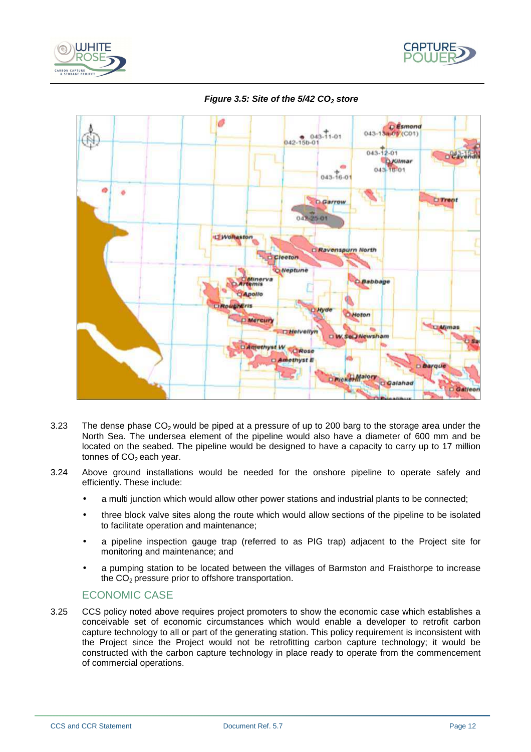





**Figure 3.5: Site of the 5/42 CO2 store** 

- 3.23 The dense phase  $CO<sub>2</sub>$  would be piped at a pressure of up to 200 barg to the storage area under the North Sea. The undersea element of the pipeline would also have a diameter of 600 mm and be located on the seabed. The pipeline would be designed to have a capacity to carry up to 17 million tonnes of  $CO<sub>2</sub>$  each year.
- 3.24 Above ground installations would be needed for the onshore pipeline to operate safely and efficiently. These include:
	- a multi junction which would allow other power stations and industrial plants to be connected;
	- three block valve sites along the route which would allow sections of the pipeline to be isolated to facilitate operation and maintenance;
	- a pipeline inspection gauge trap (referred to as PIG trap) adjacent to the Project site for monitoring and maintenance; and
	- a pumping station to be located between the villages of Barmston and Fraisthorpe to increase the  $CO<sub>2</sub>$  pressure prior to offshore transportation.

#### ECONOMIC CASE

3.25 CCS policy noted above requires project promoters to show the economic case which establishes a conceivable set of economic circumstances which would enable a developer to retrofit carbon capture technology to all or part of the generating station. This policy requirement is inconsistent with the Project since the Project would not be retrofitting carbon capture technology; it would be constructed with the carbon capture technology in place ready to operate from the commencement of commercial operations.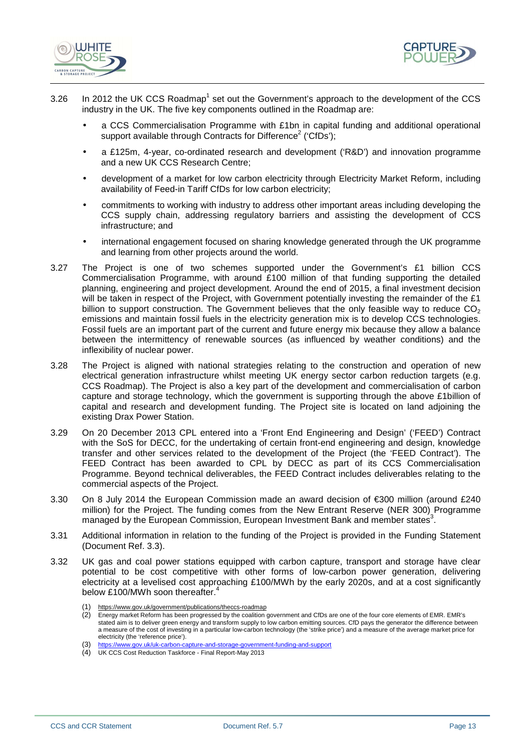



- 3.26 In 2012 the UK CCS Roadmap<sup>1</sup> set out the Government's approach to the development of the CCS industry in the UK. The five key components outlined in the Roadmap are:
	- a CCS Commercialisation Programme with £1bn in capital funding and additional operational support available through Contracts for Difference<sup>2</sup> ('CfDs');
	- a £125m, 4-year, co-ordinated research and development ('R&D') and innovation programme and a new UK CCS Research Centre:
	- development of a market for low carbon electricity through Electricity Market Reform, including availability of Feed-in Tariff CfDs for low carbon electricity;
	- commitments to working with industry to address other important areas including developing the CCS supply chain, addressing regulatory barriers and assisting the development of CCS infrastructure; and
	- international engagement focused on sharing knowledge generated through the UK programme and learning from other projects around the world.
- 3.27 The Project is one of two schemes supported under the Government's £1 billion CCS Commercialisation Programme, with around £100 million of that funding supporting the detailed planning, engineering and project development. Around the end of 2015, a final investment decision will be taken in respect of the Project, with Government potentially investing the remainder of the £1 billion to support construction. The Government believes that the only feasible way to reduce  $CO<sub>2</sub>$ emissions and maintain fossil fuels in the electricity generation mix is to develop CCS technologies. Fossil fuels are an important part of the current and future energy mix because they allow a balance between the intermittency of renewable sources (as influenced by weather conditions) and the inflexibility of nuclear power.
- 3.28 The Project is aligned with national strategies relating to the construction and operation of new electrical generation infrastructure whilst meeting UK energy sector carbon reduction targets (e.g. CCS Roadmap). The Project is also a key part of the development and commercialisation of carbon capture and storage technology, which the government is supporting through the above £1billion of capital and research and development funding. The Project site is located on land adjoining the existing Drax Power Station.
- 3.29 On 20 December 2013 CPL entered into a 'Front End Engineering and Design' ('FEED') Contract with the SoS for DECC, for the undertaking of certain front-end engineering and design, knowledge transfer and other services related to the development of the Project (the 'FEED Contract'). The FEED Contract has been awarded to CPL by DECC as part of its CCS Commercialisation Programme. Beyond technical deliverables, the FEED Contract includes deliverables relating to the commercial aspects of the Project.
- 3.30 On 8 July 2014 the European Commission made an award decision of €300 million (around £240 million) for the Project. The funding comes from the New Entrant Reserve (NER 300) Programme managed by the European Commission, European Investment Bank and member states<sup>3</sup>.
- 3.31 Additional information in relation to the funding of the Project is provided in the Funding Statement (Document Ref. 3.3).
- 3.32 UK gas and coal power stations equipped with carbon capture, transport and storage have clear potential to be cost competitive with other forms of low-carbon power generation, delivering electricity at a levelised cost approaching £100/MWh by the early 2020s, and at a cost significantly below £100/MWh soon thereafter.<sup>4</sup>
	- (1) https://www.gov.uk/government/publications/theccs-roadmap<br>(2) Energy market Reform has been progressed by the coalition

Energy market Reform has been progressed by the coalition government and CfDs are one of the four core elements of EMR. EMR's stated aim is to deliver green energy and transform supply to low carbon emitting sources. CfD pays the generator the difference between a measure of the cost of investing in a particular low-carbon technology (the 'strike price') and a measure of the average market price for electricity (the 'reference price').

https://www.gov.uk/uk-carbon-capture-and-storage-government-funding-and-support

<sup>(4)</sup> UK CCS Cost Reduction Taskforce - Final Report-May 2013